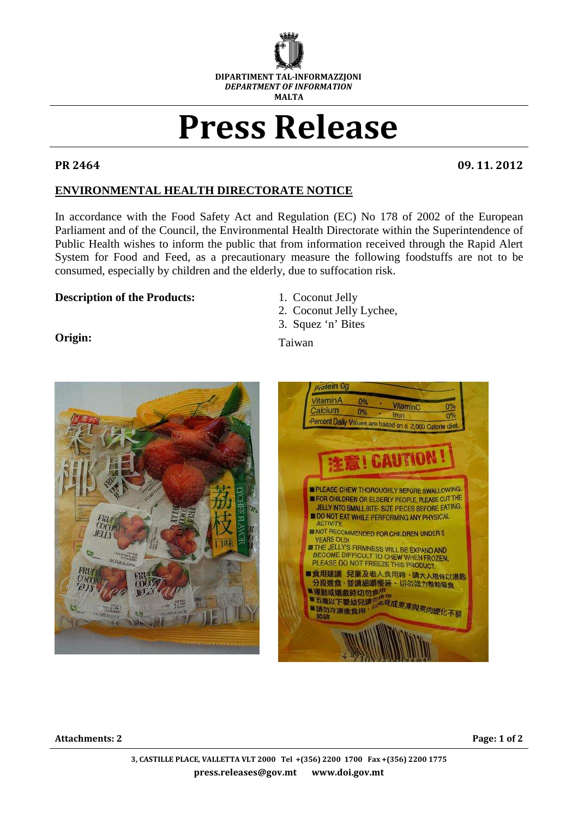

## Press Release

PR 2464 09. 11. 2012

## **ENVIRONMENTAL HEALTH DIRECTORATE NOTICE**

In accordance with the Food Safety Act and Regulation (EC) No 178 of 2002 of the European Parliament and of the Council, the Environmental Health Directorate within the Superintendence of Public Health wishes to inform the public that from information received through the Rapid Alert System for Food and Feed, as a precautionary measure the following foodstuffs are not to be consumed, especially by children and the elderly, due to suffocation risk.

## **Description of the Products:** 1. Coconut Jelly

- 
- 2. Coconut Jelly Lychee,
- 3. Squez 'n' Bites

**Origin:** Taiwan





Attachments: 2 **Page: 1 of 2** Page: 1 of 2